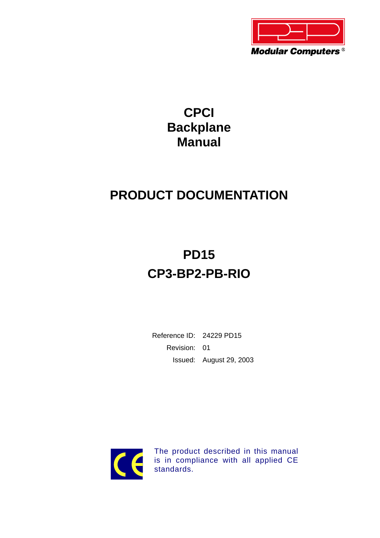

# **CPCI Backplane Manual**

# **PRODUCT DOCUMENTATION**

# **PD15 CP3-BP2-PB-RIO**

Reference ID: 24229 PD15 Revision: 01 Issued: August 29, 2003



The product described in this manual is in compliance with all applied CE standards.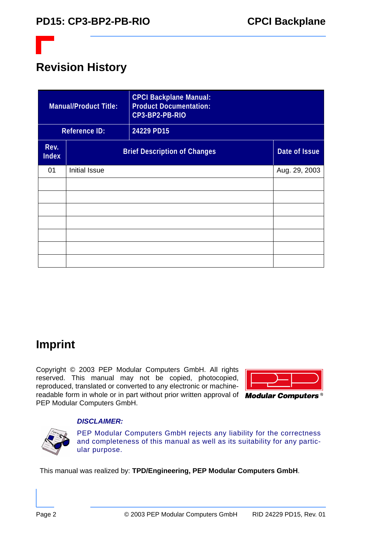

## **Revision History**

|                      | <b>Manual/Product Title:</b> | <b>CPCI Backplane Manual:</b><br><b>Product Documentation:</b><br>CP3-BP2-PB-RIO |               |
|----------------------|------------------------------|----------------------------------------------------------------------------------|---------------|
|                      | <b>Reference ID:</b>         | 24229 PD15                                                                       |               |
| Rev.<br><b>Index</b> |                              | <b>Brief Description of Changes</b>                                              | Date of Issue |
| 01                   | <b>Initial Issue</b>         |                                                                                  | Aug. 29, 2003 |
|                      |                              |                                                                                  |               |
|                      |                              |                                                                                  |               |
|                      |                              |                                                                                  |               |
|                      |                              |                                                                                  |               |
|                      |                              |                                                                                  |               |
|                      |                              |                                                                                  |               |
|                      |                              |                                                                                  |               |

### **Imprint**

Copyright © 2003 PEP Modular Computers GmbH. All rights reserved. This manual may not be copied, photocopied, reproduced, translated or converted to any electronic or machinereadable form in whole or in part without prior written approval of  $\overline{Modular}$  Computers<sup>®</sup> PEP Modular Computers GmbH.



#### *DISCLAIMER:*

PEP Modular Computers GmbH rejects any liability for the correctness and completeness of this manual as well as its suitability for any particular purpose.

This manual was realized by: **TPD/Engineering, PEP Modular Computers GmbH**.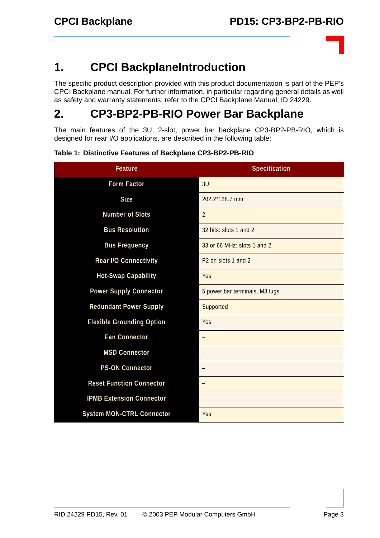### **1. CPCI BackplaneIntroduction**

The specific product description provided with this product documentation is part of the PEP's CPCI Backplane manual. For further information, in particular regarding general details as well as safety and warranty statements, refer to the CPCI Backplane Manual, ID 24229.

### **2. CP3-BP2-PB-RIO Power Bar Backplane**

The main features of the 3U, 2-slot, power bar backplane CP3-BP2-PB-RIO, which is designed for rear I/O applications, are described in the following table:

| <b>Feature</b>                   | Specification                   |
|----------------------------------|---------------------------------|
| <b>Form Factor</b>               | 3U                              |
| <b>Size</b>                      | 202.2*128.7 mm                  |
| <b>Number of Slots</b>           | 2                               |
| <b>Bus Resolution</b>            | 32 bits: slots 1 and 2          |
| <b>Bus Frequency</b>             | 33 or 66 MHz: slots 1 and 2     |
| Rear I/O Connectivity            | P <sub>2</sub> on slots 1 and 2 |
| <b>Hot-Swap Capability</b>       | <b>Yes</b>                      |
| <b>Power Supply Connector</b>    | 5 power bar terminals, M3 lugs  |
| <b>Redundant Power Supply</b>    | Supported                       |
| <b>Flexible Grounding Option</b> | Yes                             |
| <b>Fan Connector</b>             |                                 |
| <b>MSD Connector</b>             |                                 |
| <b>PS-ON Connector</b>           |                                 |
| <b>Reset Function Connector</b>  |                                 |
| <b>IPMB Extension Connector</b>  |                                 |
| <b>System MON-CTRL Connector</b> | <b>Yes</b>                      |

**Table 1: Distinctive Features of Backplane CP3-BP2-PB-RIO**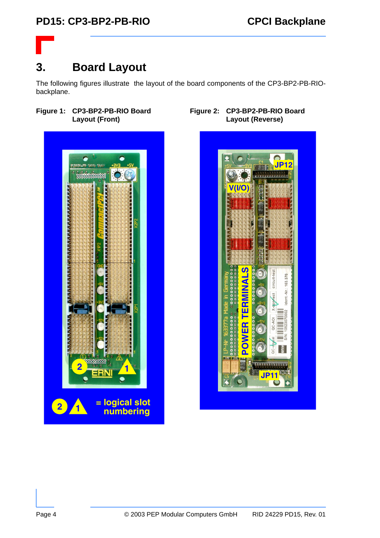### **3. Board Layout**

The following figures illustrate the layout of the board components of the CP3-BP2-PB-RIObackplane.

#### **Figure 1: CP3-BP2-PB-RIO Board Layout (Front)**



#### **Figure 2: CP3-BP2-PB-RIO Board Layout (Reverse)**

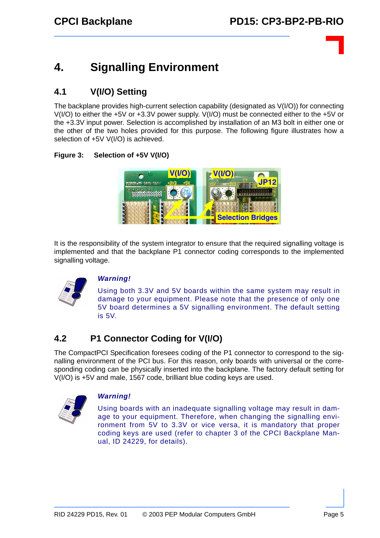## **4. Signalling Environment**

### **4.1 V(I/O) Setting**

The backplane provides high-current selection capability (designated as V(I/O)) for connecting V(I/O) to either the +5V or +3.3V power supply. V(I/O) must be connected either to the +5V or the +3.3V input power. Selection is accomplished by installation of an M3 bolt in either one or the other of the two holes provided for this purpose. The following figure illustrates how a selection of +5V V(I/O) is achieved.

#### **Figure 3: Selection of +5V V(I/O)**



It is the responsibility of the system integrator to ensure that the required signalling voltage is implemented and that the backplane P1 connector coding corresponds to the implemented signalling voltage.



#### *Warning!*

Using both 3.3V and 5V boards within the same system may result in damage to your equipment. Please note that the presence of only one 5V board determines a 5V signalling environment. The default setting is 5V.

#### **4.2 P1 Connector Coding for V(I/O)**

The CompactPCI Specification foresees coding of the P1 connector to correspond to the signalling environment of the PCI bus. For this reason, only boards with universal or the corresponding coding can be physically inserted into the backplane. The factory default setting for V(I/O) is +5V and male, 1567 code, brilliant blue coding keys are used.



#### *Warning!*

Using boards with an inadequate signalling voltage may result in damage to your equipment. Therefore, when changing the signalling environment from 5V to 3.3V or vice versa, it is mandatory that proper coding keys are used (refer to chapter 3 of the CPCI Backplane Manual, ID 24229, for details).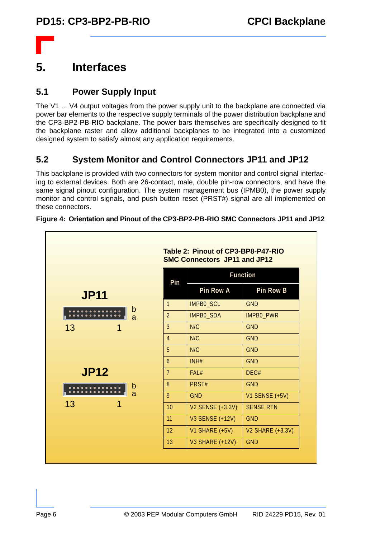

 $\mathbf{r}$ 

### **5. Interfaces**

#### **5.1 Power Supply Input**

The V1 ... V4 output voltages from the power supply unit to the backplane are connected via power bar elements to the respective supply terminals of the power distribution backplane and the CP3-BP2-PB-RIO backplane. The power bars themselves are specifically designed to fit the backplane raster and allow additional backplanes to be integrated into a customized designed system to satisfy almost any application requirements.

#### **5.2 System Monitor and Control Connectors JP11 and JP12**

This backplane is provided with two connectors for system monitor and control signal interfacing to external devices. Both are 26-contact, male, double pin-row connectors, and have the same signal pinout configuration. The system management bus (IPMB0), the power supply monitor and control signals, and push button reset (PRST#) signal are all implemented on these connectors.

|             | Pin                                | <b>Function</b>         |                         |
|-------------|------------------------------------|-------------------------|-------------------------|
| <b>JP11</b> |                                    | Pin Row A               | Pin Row B               |
|             | $\mathbf{1}$                       | IMPB0_SCL               | <b>GND</b>              |
|             | $\mathsf b$<br>$\overline{2}$<br>a | IMPB0_SDA               | IMPB0_PWR               |
| 13<br>1     | $\overline{3}$                     | N/C                     | <b>GND</b>              |
|             | $\overline{4}$                     | N/C                     | <b>GND</b>              |
|             | 5                                  | N/C                     | <b>GND</b>              |
|             | $\mathfrak b$                      | INH#                    | <b>GND</b>              |
| <b>JP12</b> | 7 <sup>1</sup>                     | FAL#                    | DEG#                    |
|             | 8<br>$\mathsf b$                   | PRST#                   | <b>GND</b>              |
|             | a<br>9                             | <b>GND</b>              | <b>V1 SENSE (+5V)</b>   |
| 13<br>1     | 10                                 | <b>V2 SENSE (+3.3V)</b> | <b>SENSE RTN</b>        |
|             | 11                                 | <b>V3 SENSE (+12V)</b>  | <b>GND</b>              |
|             | 12                                 | V1 SHARE (+5V)          | <b>V2 SHARE (+3.3V)</b> |
|             | 13                                 | <b>V3 SHARE (+12V)</b>  | <b>GND</b>              |

#### **Figure 4: Orientation and Pinout of the CP3-BP2-PB-RIO SMC Connectors JP11 and JP12**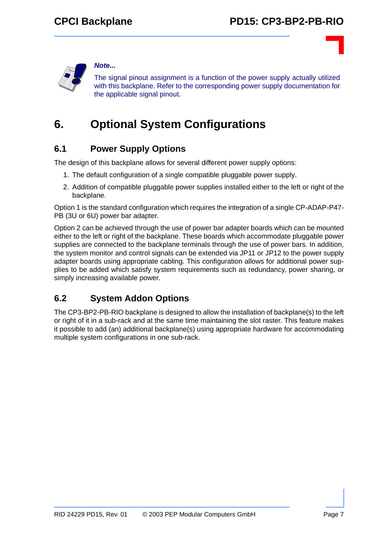

#### *Note...*

The signal pinout assignment is a function of the power supply actually utilized with this backplane. Refer to the corresponding power supply documentation for the applicable signal pinout.

### **6. Optional System Configurations**

#### **6.1 Power Supply Options**

The design of this backplane allows for several different power supply options:

- 1. The default configuration of a single compatible pluggable power supply.
- 2. Addition of compatible pluggable power supplies installed either to the left or right of the backplane.

Option 1 is the standard configuration which requires the integration of a single CP-ADAP-P47- PB (3U or 6U) power bar adapter.

Option 2 can be achieved through the use of power bar adapter boards which can be mounted either to the left or right of the backplane. These boards which accommodate pluggable power supplies are connected to the backplane terminals through the use of power bars. In addition, the system monitor and control signals can be extended via JP11 or JP12 to the power supply adapter boards using appropriate cabling. This configuration allows for additional power supplies to be added which satisfy system requirements such as redundancy, power sharing, or simply increasing available power.

#### **6.2 System Addon Options**

The CP3-BP2-PB-RIO backplane is designed to allow the installation of backplane(s) to the left or right of it in a sub-rack and at the same time maintaining the slot raster. This feature makes it possible to add (an) additional backplane(s) using appropriate hardware for accommodating multiple system configurations in one sub-rack.